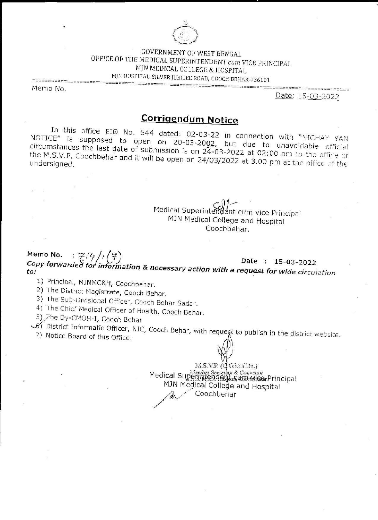

**GOVERNMENT OF WEST BENGAL** OFFICE OF THE MEDICAL SUPERINTENDENT cum VICE PRINCIPAL MJN MEDICAL COLLEGE & HOSPITAL MJN HOSPITAL, SILVER JUBILEE ROAD, COOCH BEHAR-736101

Memo No.

Date: 15-03-2022

# **Corrigendum Notice**

In this office EIO No. 544 dated: 02-03-22 in connection with "NICHAY YAN NOTICE" is supposed to open on 20-03-2002, but due to unavoidable official circumstances the last date of submission is on 24-03-2022 at 02:00 pm to the office of the M.S.V.P, Coochbehar and it will be open on 24/03/2022 at 3.00 pm at the office of the

> Medical Superintendent cum vice Principal MJN Medical College and Hospital Coochbehar

Memo No.  $:7/4/(7)$ Copy forwarded for information & necessary action with a request for wide circulation Date: 15-03-2022

1) Principal, MJNMC&H, Coochbehar.

2) The District Magistrate, Cooch Behar.

3) The Sub-Divisional Officer, Cooch Behar Sadar.

4) The Chief Medical Officer of Health, Cooch Behar.

5) The Dy-CMOH-I, Cooch Behar

Of District Informatic Officer, NIC, Cooch Behar, with request to publish in the district website.

7) Notice Board of this Office.

ms.vr.dglach) Medical Superintendence Convenos MJN Medical College and Hospital Coochbehar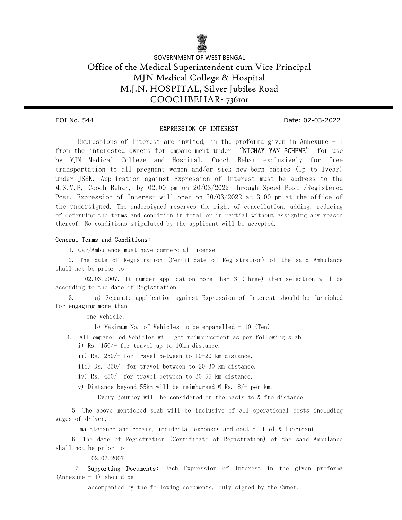

## GOVERNMENT OF WEST BENGAL Office of the Medical Superintendent cum Vice Principal MJN Medical College & Hospital M.J.N. HOSPITAL, Silver Jubilee Road COOCHBEHAR- 736101

Ξ

EOI No. 544 Date: 02-03-2022

#### EXPRESSION OF INTEREST

 Expressions of Interest are invited, in the proforma given in Annexure – I from the interested owners for empanelment under "NICHAY YAN SCHEME" for use by MJN Medical College and Hospital, Cooch Behar exclusively for free transportation to all pregnant women and/or sick new-born babies (Up to 1year) under JSSK. Application against Expression of Interest must be address to the M.S.V.P, Cooch Behar, by 02.00 pm on 20/03/2022 through Speed Post /Registered Post. Expression of Interest will open on 20/03/2022 at 3.00 pm at the office of the undersigned. The undersigned reserves the right of cancellation, adding, reducing of deferring the terms and condition in total or in partial without assigning any reason thereof. No conditions stipulated by the applicant will be accepted.

#### General Terms and Conditions:

1. Car/Ambulance must have commercial license

 2. The date of Registration (Certificate of Registration) of the said Ambulance shall not be prior to

 02.03.2007. It number application more than 3 (three) then selection will be according to the date of Registration.

 3. a) Separate application against Expression of Interest should be furnished for engaging more than

one Vehicle.

b) Maximum No. of Vehicles to be empanelled – 10 (Ten)

- 4. All empanelled Vehicles will get reimbursement as per following slab :
	- i) Rs. 150/- for travel up to 10km distance.
	- ii) Rs. 250/- for travel between to 10-20 km distance.
	- iii) Rs. 350/- for travel between to 20-30 km distance.
	- iv) Rs. 450/- for travel between to 30-55 km distance.
	- v) Distance beyond 55km will be reimbursed @ Rs. 8/- per km.

Every journey will be considered on the basis to & fro distance.

 5. The above mentioned slab will be inclusive of all operational costs including wages of driver,

maintenance and repair, incidental expenses and cost of fuel & lubricant.

 6. The date of Registration (Certificate of Registration) of the said Ambulance shall not be prior to

02.03.2007.

 7. Supporting Documents: Each Expression of Interest in the given proforma (Annexure – I) should be

accompanied by the following documents, duly signed by the Owner.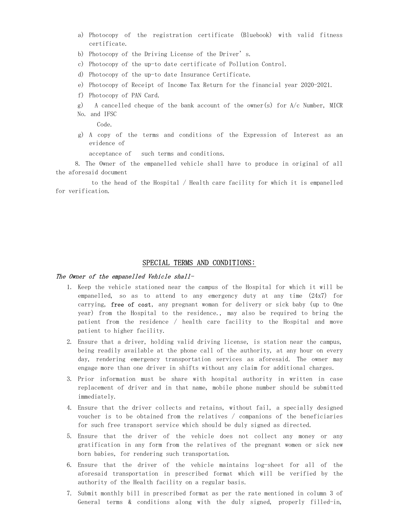- a) Photocopy of the registration certificate (Bluebook) with valid fitness certificate.
- b) Photocopy of the Driving License of the Driver's.
- c) Photocopy of the up-to date certificate of Pollution Control.
- d) Photocopy of the up-to date Insurance Certificate.
- e) Photocopy of Receipt of Income Tax Return for the financial year 2020-2021.
- f) Photocopy of PAN Card.
- g) A cancelled cheque of the bank account of the owner(s) for  $A/c$  Number, MICR No. and IFSC

Code.

g) A copy of the terms and conditions of the Expression of Interest as an evidence of

acceptance of such terms and conditions.

 8. The Owner of the empanelled vehicle shall have to produce in original of all the aforesaid document

 to the head of the Hospital / Health care facility for which it is empanelled for verification.

#### SPECIAL TERMS AND CONDITIONS:

#### The Owner of the empanelled Vehicle shall-

- 1. Keep the vehicle stationed near the campus of the Hospital for which it will be empanelled, so as to attend to any emergency duty at any time (24x7) for carrying, free of cost, any pregnant woman for delivery or sick baby (up to One year) from the Hospital to the residence., may also be required to bring the patient from the residence / health care facility to the Hospital and move patient to higher facility.
- 2. Ensure that a driver, holding valid driving license, is station near the campus, being readily available at the phone call of the authority, at any hour on every day, rendering emergency transportation services as aforesaid. The owner may engage more than one driver in shifts without any claim for additional charges.
- 3. Prior information must be share with hospital authority in written in case replacement of driver and in that name, mobile phone number should be submitted immediately.
- 4. Ensure that the driver collects and retains, without fail, a specially designed voucher is to be obtained from the relatives / companions of the beneficiaries for such free transport service which should be duly signed as directed.
- 5. Ensure that the driver of the vehicle does not collect any money or any gratification in any form from the relatives of the pregnant women or sick new born babies, for rendering such transportation.
- 6. Ensure that the driver of the vehicle maintains log-sheet for all of the aforesaid transportation in prescribed format which will be verified by the authority of the Health facility on a regular basis.
- 7. Submit monthly bill in prescribed format as per the rate mentioned in column 3 of General terms & conditions along with the duly signed, properly filled-in,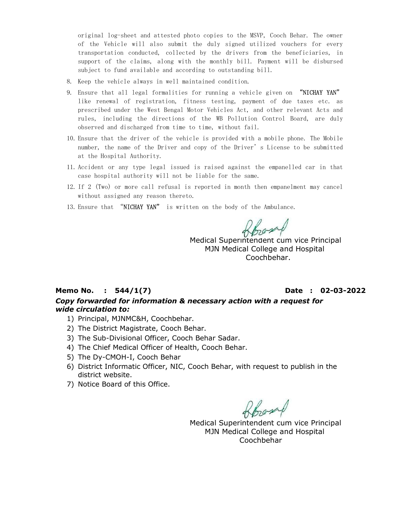original log-sheet and attested photo copies to the MSVP, Cooch Behar. The owner of the Vehicle will also submit the duly signed utilized vouchers for every transportation conducted, collected by the drivers from the beneficiaries, in support of the claims, along with the monthly bill. Payment will be disbursed subject to fund available and according to outstanding bill.

- 8. Keep the vehicle always in well maintained condition.
- 9. Ensure that all legal formalities for running a vehicle given on "NICHAY YAN" like renewal of registration, fitness testing, payment of due taxes etc. as prescribed under the West Bengal Motor Vehicles Act, and other relevant Acts and rules, including the directions of the WB Pollution Control Board, are duly observed and discharged from time to time, without fail.
- 10. Ensure that the driver of the vehicle is provided with a mobile phone. The Mobile number, the name of the Driver and copy of the Driver's License to be submitted at the Hospital Authority.
- 11. Accident or any type legal issued is raised against the empanelled car in that case hospital authority will not be liable for the same.
- 12. If 2 (Two) or more call refusal is reported in month then empanelment may cancel without assigned any reason thereto.
- 13. Ensure that "NICHAY YAN" is written on the body of the Ambulance.

boom

Medical Superintendent cum vice Principal MJN Medical College and Hospital Coochbehar.

## Memo No. : 544/1(7) Date : 02-03-2022 Copy forwarded for information & necessary action with a request for wide circulation to:

- 1) Principal, MJNMC&H, Coochbehar.
- 2) The District Magistrate, Cooch Behar.
- 3) The Sub-Divisional Officer, Cooch Behar Sadar.
- 4) The Chief Medical Officer of Health, Cooch Behar.
- 5) The Dy-CMOH-I, Cooch Behar
- 6) District Informatic Officer, NIC, Cooch Behar, with request to publish in the district website.
- 7) Notice Board of this Office.

Board

Medical Superintendent cum vice Principal MJN Medical College and Hospital Coochbehar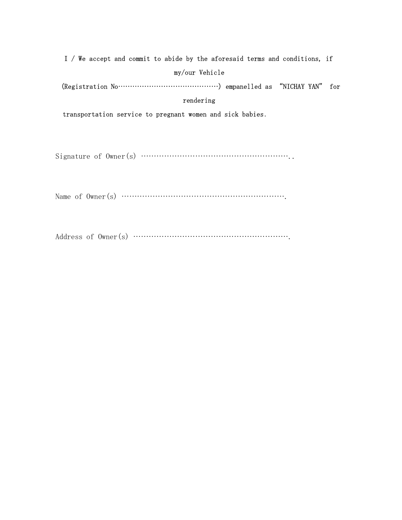| I / We accept and commit to abide by the aforesaid terms and conditions, if |
|-----------------------------------------------------------------------------|
| my/our Vehicle                                                              |
|                                                                             |
| rendering                                                                   |
| transportation service to pregnant women and sick babies.                   |

Signature of Owner(s) …………………………………………………..

Name of Owner(s) ……………………………………………………….

Address of Owner(s) …………………………………………………….